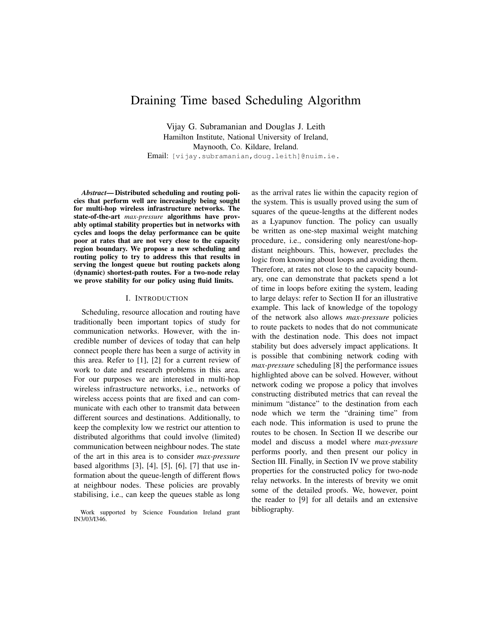# Draining Time based Scheduling Algorithm

Vijay G. Subramanian and Douglas J. Leith Hamilton Institute, National University of Ireland, Maynooth, Co. Kildare, Ireland. Email: [vijay.subramanian,doug.leith]@nuim.ie.

*Abstract*— Distributed scheduling and routing policies that perform well are increasingly being sought for multi-hop wireless infrastructure networks. The state-of-the-art *max-pressure* algorithms have provably optimal stability properties but in networks with cycles and loops the delay performance can be quite poor at rates that are not very close to the capacity region boundary. We propose a new scheduling and routing policy to try to address this that results in serving the longest queue but routing packets along (dynamic) shortest-path routes. For a two-node relay we prove stability for our policy using fluid limits.

#### I. INTRODUCTION

Scheduling, resource allocation and routing have traditionally been important topics of study for communication networks. However, with the incredible number of devices of today that can help connect people there has been a surge of activity in this area. Refer to [1], [2] for a current review of work to date and research problems in this area. For our purposes we are interested in multi-hop wireless infrastructure networks, i.e., networks of wireless access points that are fixed and can communicate with each other to transmit data between different sources and destinations. Additionally, to keep the complexity low we restrict our attention to distributed algorithms that could involve (limited) communication between neighbour nodes. The state of the art in this area is to consider *max-pressure* based algorithms [3], [4], [5], [6], [7] that use information about the queue-length of different flows at neighbour nodes. These policies are provably stabilising, i.e., can keep the queues stable as long

Work supported by Science Foundation Ireland grant IN3/03/I346.

as the arrival rates lie within the capacity region of the system. This is usually proved using the sum of squares of the queue-lengths at the different nodes as a Lyapunov function. The policy can usually be written as one-step maximal weight matching procedure, i.e., considering only nearest/one-hopdistant neighbours. This, however, precludes the logic from knowing about loops and avoiding them. Therefore, at rates not close to the capacity boundary, one can demonstrate that packets spend a lot of time in loops before exiting the system, leading to large delays: refer to Section II for an illustrative example. This lack of knowledge of the topology of the network also allows *max-pressure* policies to route packets to nodes that do not communicate with the destination node. This does not impact stability but does adversely impact applications. It is possible that combining network coding with *max-pressure* scheduling [8] the performance issues highlighted above can be solved. However, without network coding we propose a policy that involves constructing distributed metrics that can reveal the minimum "distance" to the destination from each node which we term the "draining time" from each node. This information is used to prune the routes to be chosen. In Section II we describe our model and discuss a model where *max-pressure* performs poorly, and then present our policy in Section III. Finally, in Section IV we prove stability properties for the constructed policy for two-node relay networks. In the interests of brevity we omit some of the detailed proofs. We, however, point the reader to [9] for all details and an extensive bibliography.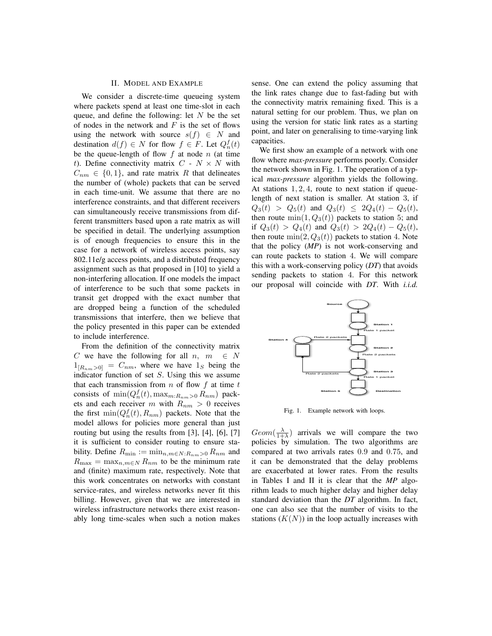## II. MODEL AND EXAMPLE

We consider a discrete-time queueing system where packets spend at least one time-slot in each queue, and define the following: let  $N$  be the set of nodes in the network and  $F$  is the set of flows using the network with source  $s(f) \in N$  and destination  $d(f) \in N$  for flow  $f \in F$ . Let  $Q_n^f(t)$ be the queue-length of flow  $f$  at node  $n$  (at time t). Define connectivity matrix  $C - N \times N$  with  $C_{nm} \in \{0, 1\}$ , and rate matrix R that delineates the number of (whole) packets that can be served in each time-unit. We assume that there are no interference constraints, and that different receivers can simultaneously receive transmissions from different transmitters based upon a rate matrix as will be specified in detail. The underlying assumption is of enough frequencies to ensure this in the case for a network of wireless access points, say 802.11e/g access points, and a distributed frequency assignment such as that proposed in [10] to yield a non-interfering allocation. If one models the impact of interference to be such that some packets in transit get dropped with the exact number that are dropped being a function of the scheduled transmissions that interfere, then we believe that the policy presented in this paper can be extended to include interference.

From the definition of the connectivity matrix C we have the following for all  $n, m \in N$  $1_{[R_{nm}>0]}$  =  $C_{nm}$ , where we have  $1_S$  being the indicator function of set  $S$ . Using this we assume that each transmission from  $n$  of flow  $f$  at time  $t$ consists of  $\min(Q_n^f(t), \max_{m:R_{nm}>0} R_{nm})$  packets and each receiver m with  $R_{nm} > 0$  receives the first  $\min(Q_n^f(t), R_{nm})$  packets. Note that the model allows for policies more general than just routing but using the results from [3], [4], [6], [7] it is sufficient to consider routing to ensure stability. Define  $R_{\min} := \min_{n,m \in N: R_{nm} > 0} R_{nm}$  and  $R_{\text{max}} = \max_{n,m \in \mathbb{N}} R_{nm}$  to be the minimum rate and (finite) maximum rate, respectively. Note that this work concentrates on networks with constant service-rates, and wireless networks never fit this billing. However, given that we are interested in wireless infrastructure networks there exist reasonably long time-scales when such a notion makes sense. One can extend the policy assuming that the link rates change due to fast-fading but with the connectivity matrix remaining fixed. This is a natural setting for our problem. Thus, we plan on using the version for static link rates as a starting point, and later on generalising to time-varying link capacities.

We first show an example of a network with one flow where *max-pressure* performs poorly. Consider the network shown in Fig. 1. The operation of a typical *max-pressure* algorithm yields the following. At stations  $1, 2, 4$ , route to next station if queuelength of next station is smaller. At station 3, if  $Q_3(t) > Q_5(t)$  and  $Q_3(t) \leq 2Q_4(t) - Q_5(t)$ , then route  $min(1, Q_3(t))$  packets to station 5; and if  $Q_3(t) > Q_4(t)$  and  $Q_3(t) > 2Q_4(t) - Q_5(t)$ , then route  $\min(2, Q_3(t))$  packets to station 4. Note that the policy (*MP*) is not work-conserving and can route packets to station 4. We will compare this with a work-conserving policy (*DT*) that avoids sending packets to station 4. For this network our proposal will coincide with *DT*. With *i.i.d.*



Fig. 1. Example network with loops.

 $Geom(\frac{\lambda}{1+\lambda})$  arrivals we will compare the two policies by simulation. The two algorithms are compared at two arrivals rates 0.9 and 0.75, and it can be demonstrated that the delay problems are exacerbated at lower rates. From the results in Tables I and II it is clear that the *MP* algorithm leads to much higher delay and higher delay standard deviation than the *DT* algorithm. In fact, one can also see that the number of visits to the stations  $(K(N))$  in the loop actually increases with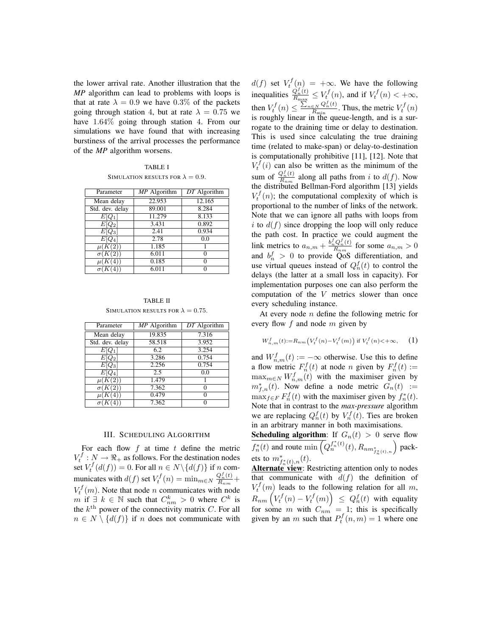the lower arrival rate. Another illustration that the *MP* algorithm can lead to problems with loops is that at rate  $\lambda = 0.9$  we have  $0.3\%$  of the packets going through station 4, but at rate  $\lambda = 0.75$  we have 1.64% going through station 4. From our simulations we have found that with increasing burstiness of the arrival processes the performance of the *MP* algorithm worsens.

|                                          | <b>TABLE I</b> |  |
|------------------------------------------|----------------|--|
| SIMULATION RESULTS FOR $\lambda = 0.9$ . |                |  |

| Parameter       | MP Algorithm | $DT$ Algorithm |
|-----------------|--------------|----------------|
| Mean delay      | 22.953       | 12.165         |
| Std. dev. delay | 89.001       | 8.284          |
| $E Q_1 $        | 11.279       | 8.133          |
| $E Q_2 $        | 3.431        | 0.892          |
| $E Q_3 $        | 2.41         | 0.934          |
| $E[Q_4]$        | 2.78         | 0.0            |
| $\mu(K(2))$     | 1.185        |                |
| $\sigma(K(2))$  | 6.011        | $\Omega$       |
| $\mu(K(4)$      | 0.185        | $\Omega$       |
| $\sigma$ (K(4)  | 6.011        | 0              |

TABLE II SIMULATION RESULTS FOR  $\lambda = 0.75$ .

| Parameter       | MP Algorithm | DT Algorithm |
|-----------------|--------------|--------------|
| Mean delay      | 19.835       | 7.316        |
| Std. dev. delay | 58.518       | 3.952        |
| $E[Q_1]$        | 6.2          | 3.254        |
| $E[Q_2]$        | 3.286        | 0.754        |
| $E[Q_3]$        | 2.256        | 0.754        |
| $E[Q_4]$        | 2.5          | 0.0          |
| $\mu(K(2))$     | 1.479        |              |
| $\sigma(K(2))$  | 7.362        |              |
| $\mu(K)$        | 0.479        |              |
|                 | 7.362        |              |

#### III. SCHEDULING ALGORITHM

For each flow  $f$  at time  $t$  define the metric  $V_t^f: N \to \Re_+$  as follows. For the destination nodes set  $V_t^f(d(f)) = 0$ . For all  $n \in N \setminus \{d(f)\}\$ if n communicates with  $d(f)$  set  $V_t^f(n) = \min_{m \in \mathbb{N}} \frac{Q_n^f(t)}{R_{nm}} +$  $V_t^f(m)$ . Note that node *n* communicates with node m if  $\exists k \in \mathbb{N}$  such that  $C_{nm}^k > 0$  where  $C^k$  is the  $k^{\text{th}}$  power of the connectivity matrix C. For all  $n \in N \setminus \{d(f)\}\$ if n does not communicate with

 $d(f)$  set  $V_t^f(n) = +\infty$ . We have the following inequalities  $\frac{Q_n^f(t)}{R_{\text{max}}} \leq V_t^f(n)$ , and if  $V_t^f(n) < +\infty$ , then  $V_t^f(n) \leq \frac{\sum_{n \in N} Q_n^f(t)}{R_{\min}}$  $\frac{E_N Q_n^j(t)}{R_{\min}}$ . Thus, the metric  $V_t^f(n)$ is roughly linear in the queue-length, and is a surrogate to the draining time or delay to destination. This is used since calculating the true draining time (related to make-span) or delay-to-destination is computationally prohibitive [11], [12]. Note that  $V_t^f(i)$  can also be written as the minimum of the sum of  $\frac{Q_n^f(t)}{R_{nm}}$  along all paths from i to  $d(f)$ . Now the distributed Bellman-Ford algorithm [13] yields  $V_t^f(n)$ ; the computational complexity of which is proportional to the number of links of the network. Note that we can ignore all paths with loops from i to  $d(f)$  since dropping the loop will only reduce the path cost. In practice we could augment the link metrics to  $a_{n,m} + \frac{b_n^f Q_n^f(t)}{R_{nm}}$  for some  $a_{n,m} > 0$ and  $b_n^f > 0$  to provide QoS differentiation, and use virtual queues instead of  $Q_n^f(t)$  to control the delays (the latter at a small loss in capacity). For implementation purposes one can also perform the computation of the V metrics slower than once every scheduling instance.

At every node  $n$  define the following metric for every flow f and node m given by

$$
W_{n,m}^f(t) := R_{nm} \left( V_t^f(n) - V_t^f(m) \right) \text{ if } V_t^f(n) < +\infty,
$$
 (1)

and  $W_{n,m}^f(t) := -\infty$  otherwise. Use this to define a flow metric  $F_n^f(t)$  at node *n* given by  $F_n^f(t) :=$  $\max_{m \in \mathbb{N}} W_{n,m}^f(t)$  with the maximiser given by  $m_{f,n}^*(t)$ . Now define a node metric  $G_n(t) :=$  $\max_{f \in F} F_n^f(t)$  with the maximiser given by  $f_n^*(t)$ . Note that in contrast to the *max-pressure* algorithm we are replacing  $Q_n^f(t)$  by  $V_n^f(t)$ . Ties are broken in an arbitrary manner in both maximisations.

**Scheduling algorithm:** If  $G_n(t) > 0$  serve flow  $f_n^*(t)$  and route  $\min\left(Q_n^{f_n^*(t)}(t), R_{nm_{f_n^*(t),n}^*}\right)$  packets to  $m^*_{f^*_n(t),n}(t)$ .

Alternate view: Restricting attention only to nodes that communicate with  $d(f)$  the definition of  $V_t^f(m)$  leads to the following relation for all m,  $R_{nm} \left( V^f_t(n) - V^f_t(m) \right) \ \le \ Q^f_n(t)$  with equality for some m with  $C_{nm} = 1$ ; this is specifically given by an m such that  $P_t^f(n,m) = 1$  where one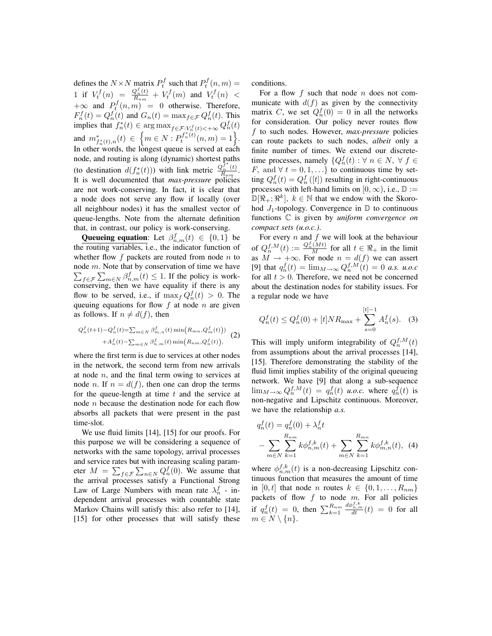defines the  $N \times N$  matrix  $P_t^f$  such that  $P_t^f(n, m) =$ 1 if  $V_t^f(n) = \frac{Q_n^f(t)}{R_{nm}} + V_t^f(m)$  and  $V_t^f(n) <$  $+\infty$  and  $P_t^f(n,m) = 0$  otherwise. Therefore,  $F_n^f(t) = Q_n^f(t)$  and  $G_n(t) = \max_{f \in \mathcal{F}} Q_n^f(t)$ . This implies that  $f_n^*(t) \in \arg \max_{f \in \mathcal{F}: V_n^f(t) < +\infty} Q_n^f(t)$ and  $m^*_{f^*_n(t),n}(t) \in \{m \in N : P_t^{f^*_n(t)}(n,m) = 1\}.$ In other words, the longest queue is served at each node, and routing is along (dynamic) shortest paths (to destination  $d(f_n^*(t)))$  with link metric  $\frac{Q_n^{f^*}(t)}{R_{nm}}$ . It is well documented that *max-pressure* policies are not work-conserving. In fact, it is clear that a node does not serve any flow if locally (over all neighbour nodes) it has the smallest vector of queue-lengths. Note from the alternate definition that, in contrast, our policy is work-conserving.

**Queueing equation:** Let  $\beta_{n,m}^f(t) \in \{0,1\}$  be the routing variables, i.e., the indicator function of whether flow  $f$  packets are routed from node  $n$  to node m. Note that by conservation of time we have  $\sum_{f \in \mathcal{F}} \sum_{m \in \mathbb{N}} \beta_{n,m}^f(t) \leq 1$ . If the policy is workconserving, then we have equality if there is any flow to be served, i.e., if  $\max_f Q_n^f(t) > 0$ . The queuing equations for flow  $f$  at node  $n$  are given as follows. If  $n \neq d(f)$ , then

$$
Q_n^f(t+1) - Q_n^f(t) = \sum_{m \in N} \beta_{m,n}^f(t) \min(R_{mn}, Q_m^f(t)) + A_n^f(t) - \sum_{m \in N} \beta_{n,m}^f(t) \min(R_{nm}, Q_n^f(t)),
$$
 (2)

where the first term is due to services at other nodes in the network, the second term from new arrivals at node  $n$ , and the final term owing to services at node *n*. If  $n = d(f)$ , then one can drop the terms for the queue-length at time  $t$  and the service at node  $n$  because the destination node for each flow absorbs all packets that were present in the past time-slot.

We use fluid limits [14], [15] for our proofs. For this purpose we will be considering a sequence of networks with the same topology, arrival processes and service rates but with increasing scaling parameter  $M = \sum_{f \in \mathcal{F}} \sum_{n \in \mathbb{N}} Q_n^f(0)$ . We assume that the arrival processes satisfy a Functional Strong Law of Large Numbers with mean rate  $\lambda_n^f$  - independent arrival processes with countable state Markov Chains will satisfy this: also refer to [14], [15] for other processes that will satisfy these conditions.

For a flow  $f$  such that node  $n$  does not communicate with  $d(f)$  as given by the connectivity matrix C, we set  $Q_n^f(0) = 0$  in all the networks for consideration. Our policy never routes flow f to such nodes. However, *max-pressure* policies can route packets to such nodes, *albeit* only a finite number of times. We extend our discretetime processes, namely  $\{Q_n^f(t): \forall n \in \mathbb{N}, \forall f \in \mathbb{N}\}$ F, and  $\forall t = 0, 1, \ldots$ } to continuous time by setting  $Q_n^f(t) = Q_n^f([t])$  resulting in right-continuous processes with left-hand limits on [0,  $\infty$ ), i.e.,  $\mathbb{D} :=$  $\mathbb{D}[\Re_{+}; \Re^{k}], k \in \mathbb{N}$  that we endow with the Skorohod  $J_1$ -topology. Convergence in  $\mathbb D$  to continuous functions C is given by *uniform convergence on compact sets (u.o.c.)*.

For every  $n$  and  $f$  we will look at the behaviour of  $Q_n^{f,M}(t) := \frac{Q_n^f(Mt)}{M}$  for all  $t \in \Re_+$  in the limit as  $M \to +\infty$ . For node  $n = d(f)$  we can assert [9] that  $q_n^f(t) = \lim_{M \to \infty} Q_n^{f,M}(t) = 0$  *a.s.* u.o.c for all  $t > 0$ . Therefore, we need not be concerned about the destination nodes for stability issues. For a regular node we have

$$
Q_n^f(t) \le Q_n^f(0) + [t] N R_{\text{max}} + \sum_{s=0}^{[t]-1} A_n^f(s). \quad (3)
$$

This will imply uniform integrability of  $Q_n^{f,M}(t)$ from assumptions about the arrival processes [14], [15]. Therefore demonstrating the stability of the fluid limit implies stability of the original queueing network. We have [9] that along a sub-sequence  $\lim_{M\to\infty} Q_n^{f,M}(t) = q_n^f(t)$  *u.o.c.* where  $q_n^f(t)$  is non-negative and Lipschitz continuous. Moreover, we have the relationship *a.s.*

$$
q_n^f(t) = q_n^f(0) + \lambda_n^f t
$$
  
- 
$$
\sum_{m \in N} \sum_{k=1}^{R_{nm}} k \phi_{n,m}^{f,k}(t) + \sum_{m \in N} \sum_{k=1}^{R_{mn}} k \phi_{m,n}^{f,k}(t), (4)
$$

where  $\phi_{n,m}^{f,k}(t)$  is a non-decreasing Lipschitz continuous function that measures the amount of time in [0, t] that node n routes  $k \in \{0, 1, \ldots, R_{nm}\}\$ packets of flow  $f$  to node  $m$ . For all policies if  $q_n^f(t) = 0$ , then  $\sum_{k=1}^{R_{nm}}$  $rac{d\phi_{n,m}^{f,k}}{dt}(t) = 0$  for all  $m \in N \setminus \{n\}.$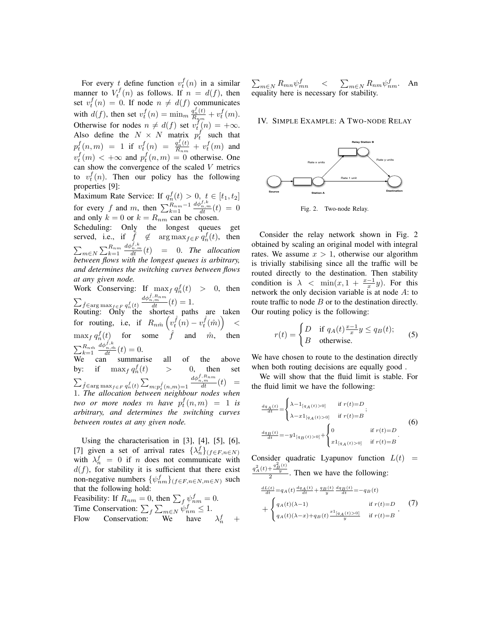For every t define function  $v_t^f(n)$  in a similar manner to  $V_t^f(n)$  as follows. If  $n = d(f)$ , then set  $v_t^f(n) = 0$ . If node  $n \neq d(f)$  communicates with  $d(f)$ , then set  $v_t^f(n) = \min_m \frac{q_n^f(t)}{R_{nm}} + v_t^f(m)$ . Otherwise for nodes  $n \neq d(f)$  set  $v_t^f(n) = +\infty$ . Also define the  $N \times N$  matrix  $p_t^f$  such that  $p_t^f(n,m) = 1$  if  $v_t^f(n) = \frac{q_n^f(t)}{R_{nm}} + v_t^f(m)$  and  $v_t^{\dagger}(m) < +\infty$  and  $p_t^{\dagger}(n,m) = 0$  otherwise. One  $f(m)$  < Loo and  $m^f$ can show the convergence of the scaled  $V$  metrics to  $v_t^f(n)$ . Then our policy has the following properties [9]:

Maximum Rate Service: If  $q_n^f(t) > 0, t \in [t_1, t_2]$ For every f and m, then  $\sum_{k=1}^{R_{nm}-1}$  $\frac{d\phi_{n,m}^{f,k}}{dt}(t) = 0$ and only  $k = 0$  or  $k = R_{nm}$  can be chosen.

Scheduling: Only the longest queues get served, i.e., if  $\hat{f} \notin \arg \max_{f \in F} q_n^f(t)$ , then  $\sum_{m\in N}\sum_{k=1}^{R_{nm}}$  $\frac{d\phi_{n,m}^{\hat{f},k}}{dt}(t) = 0$ . *The allocation between flows with the longest queues is arbitrary, and determines the switching curves between flows at any given node.*

Work Conserving: If  $\max_f q_n^f(t) > 0$ , then  $\sum_{\hat{f} \in \argmax_{f \in F} q_n^f(t)}$  $\frac{d\phi_{n,m}^{\hat{f},R_{nm}}}{dt}(t)=1.$ 

Routing: Only the shortest paths are taken for routing, i.e, if  $R_{n\hat{m}}\left(v_t^{\hat{f}}(n) - v_t^{\hat{f}}(\hat{m})\right)$  $\lt$  $\max_f q_n^f(t)$  for some  $\hat{f}$  and  $\hat{m}$ , then  $\sum_{k=1}^{R_{n\hat{m}}}$  $\frac{d\phi_{n,\hat{m}}^{\hat{f},k}}{dt}(t)=0.$ 

We can summarise all of the above by: if  $\max_f q_n^f$  $\eta_n^f(t)$  > 0, then set  $\sum_{\hat{f} \in \arg \max_{f \in F} q_n^f(t)} \sum_{m: p_t^{\hat{f}}(n,m)=1}$  $\frac{d\phi_{n,m}^{\hat{f},R_{nm}}}{dt}(t) =$ 1. *The allocation between neighbour nodes when two or more nodes* m *have*  $p_t^f(n,m) = 1$  *is arbitrary, and determines the switching curves between routes at any given node.*

Using the characterisation in [3], [4], [5], [6], [7] given a set of arrival rates  $\{\lambda_n^f\}_{(f \in F, n \in N)}$ with  $\lambda_n^f = 0$  if *n* does not communicate with  $d(f)$ , for stability it is sufficient that there exist non-negative numbers  $\{\psi_{nm}^f\}_{(f \in F, n \in N, m \in N)}$  such that the following hold:

Feasibility: If  $R_{nm} = 0$ , then  $\sum_f \psi_{nm}^f = 0$ . Time Conservation:  $\sum_f \sum_{m \in N} \psi_{nm}^f \leq 1$ . Flow Conservation: We have  $\lambda_n^f$  +

 $\sum_{m\in N} R_{mn} \psi^f_{mn} \quad <$  $\sum_{m\in N} R_{nm} \psi^f_{nm}$ . An equality here is necessary for stability.

#### IV. SIMPLE EXAMPLE: A TWO-NODE RELAY



Fig. 2. Two-node Relay.

Consider the relay network shown in Fig. 2 obtained by scaling an original model with integral rates. We assume  $x > 1$ , otherwise our algorithm is trivially stabilising since all the traffic will be routed directly to the destination. Then stability condition is  $\lambda < \min(x, 1 + \frac{x-1}{x}y)$ . For this network the only decision variable is at node A: to route traffic to node  $B$  or to the destination directly. Our routing policy is the following:

$$
r(t) = \begin{cases} D & \text{if } q_A(t) \frac{x-1}{x} y \le q_B(t); \\ B & \text{otherwise.} \end{cases}
$$
 (5)

We have chosen to route to the destination directly when both routing decisions are equally good .

We will show that the fluid limit is stable. For the fluid limit we have the following:

$$
\frac{d q_A(t)}{dt} = \begin{cases} \lambda - 1_{[q_A(t) > 0]} & \text{if } r(t) = D \\ \lambda - x 1_{[q_A(t) > 0]} & \text{if } r(t) = B \end{cases};
$$
\n
$$
\frac{d q_B(t)}{dt} = -y 1_{[q_B(t) > 0]} + \begin{cases} 0 & \text{if } r(t) = D \\ x 1_{[q_A(t) > 0]} & \text{if } r(t) = B \end{cases}.
$$
\n
$$
(6)
$$

Consider quadratic Lyapunov function  $L(t)$  =  $\frac{q_A^2(t)+\frac{q_B^2(t)}{y}}{2}$ . Then we have the following:

$$
\frac{dL(t)}{dt} = q_A(t) \frac{dq_A(t)}{dt} + \frac{q_B(t)}{y} \frac{dq_B(t)}{dt} = -q_B(t)
$$
\n
$$
+ \begin{cases}\n q_A(t)(\lambda - 1) & \text{if } r(t) = D \\
q_A(t)(\lambda - x) + q_B(t) \frac{x \cdot [q_A(t) > 0]}{y} & \text{if } r(t) = B\n\end{cases}.
$$
\n(7)